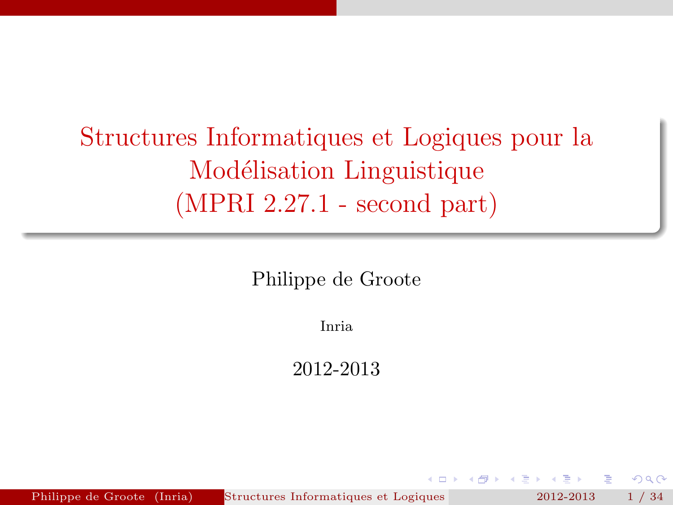Structures Informatiques et Logiques pour la Modélisation Linguistique (MPRI 2.27.1 - second part)

Philippe de Groote

Inria

2012-2013

<span id="page-0-0"></span> $\Omega$ 

Philippe de Groote (Inria) Structures Informatiques et Logiques 2012-2013 1 / 34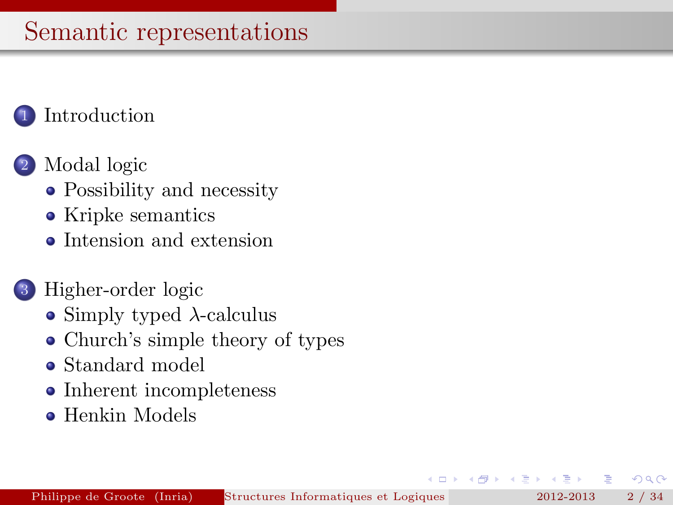# Semantic representations

# [Introduction](#page-2-0)

# [Modal logic](#page-5-0)

- [Possibility and necessity](#page-5-0)
- [Kripke semantics](#page-10-0)
- [Intension and extension](#page-15-0)

### 3 [Higher-order logic](#page-18-0)

- [Simply typed](#page-18-0)  $\lambda$ -calculus
- [Church's simple theory of types](#page-22-0)
- [Standard model](#page-26-0)
- [Inherent incompleteness](#page-29-0)
- **[Henkin Models](#page-32-0)**

 $QQ$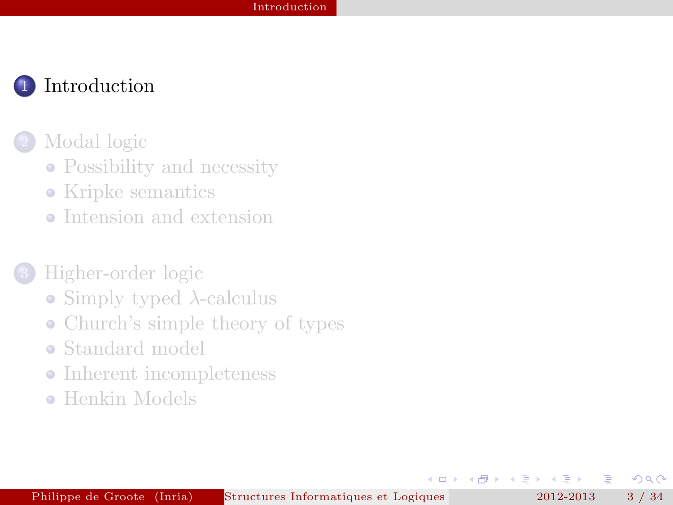

#### [Modal logic](#page-5-0)

- [Possibility and necessity](#page-5-0)
- [Kripke semantics](#page-10-0)
- [Intension and extension](#page-15-0)

### 3 [Higher-order logic](#page-18-0)

- [Simply typed](#page-18-0)  $\lambda$ -calculus
- [Church's simple theory of types](#page-22-0)
- [Standard model](#page-26-0)
- [Inherent incompleteness](#page-29-0)
- **[Henkin Models](#page-32-0)**

<span id="page-2-0"></span> $\Omega$ 

E

4. 重.  $\mathbf{p}_\mathrm{c}$ 

 $\overline{a}$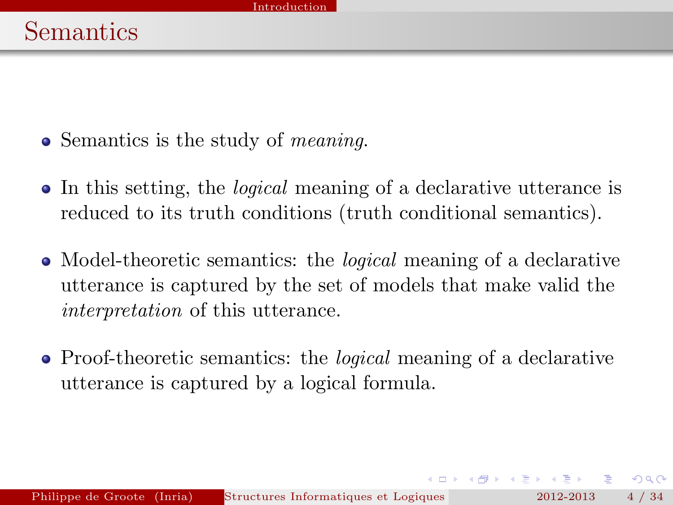- Semantics is the study of *meaning*.
- In this setting, the logical meaning of a declarative utterance is reduced to its truth conditions (truth conditional semantics).
- Model-theoretic semantics: the *logical* meaning of a declarative utterance is captured by the set of models that make valid the interpretation of this utterance.
- Proof-theoretic semantics: the *logical* meaning of a declarative utterance is captured by a logical formula.

 $\rightarrow$   $\equiv$   $\rightarrow$   $\rightarrow$   $\equiv$   $\rightarrow$ 

 $QQ$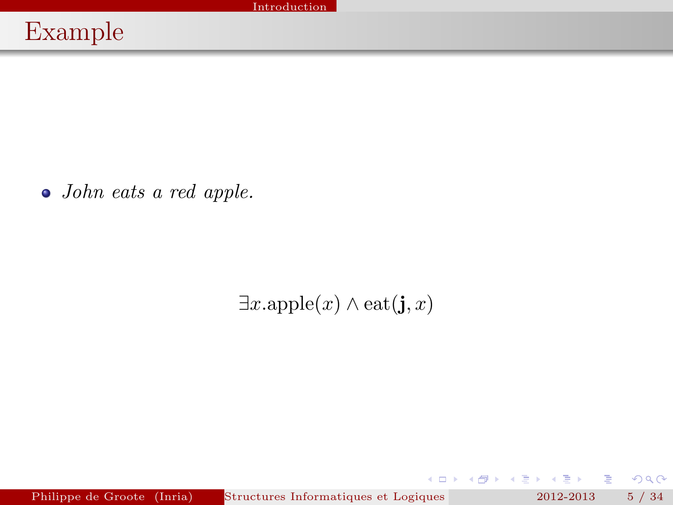John eats a red apple.

 $\exists x.\text{apple}(x) \land \text{eat}(j, x)$ 

Philippe de Groote (Inria) Structures Informatiques et Logiques pour la Modielisation Linguisticus et Logique (MPRI 2012-2013 - s. 1 34.1 - second particular particular et Logique (MPRI 2012-2013 - s. 1 34.1 - s. 1 34.1 -

G.

 $299$ 

→ 重 8 → 重 8

 $(0)$   $(0)$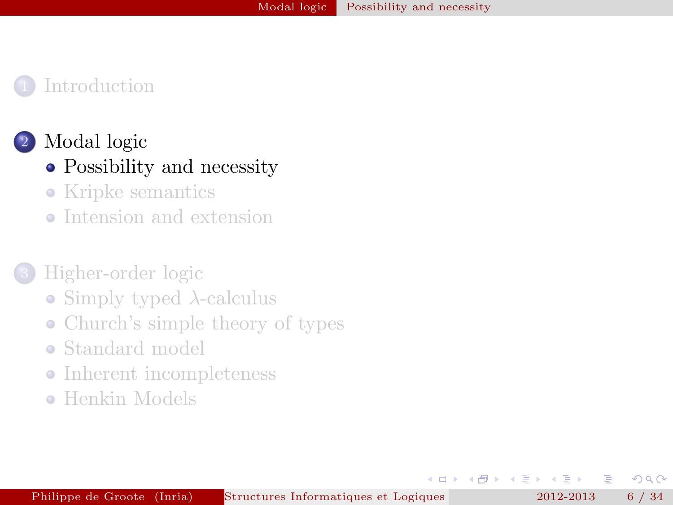# [Modal logic](#page-5-0)

- [Possibility and necessity](#page-5-0)
- [Kripke semantics](#page-10-0)
- [Intension and extension](#page-15-0)

### 3 [Higher-order logic](#page-18-0)

- [Simply typed](#page-18-0)  $\lambda$ -calculus
- [Church's simple theory of types](#page-22-0)
- [Standard model](#page-26-0)
- [Inherent incompleteness](#page-29-0)  $\bullet$
- **[Henkin Models](#page-32-0)**

<span id="page-5-0"></span> $\Omega$ 

E

4 重  $\mathbf{p}_\mathrm{c}$ 

 $\overline{a}$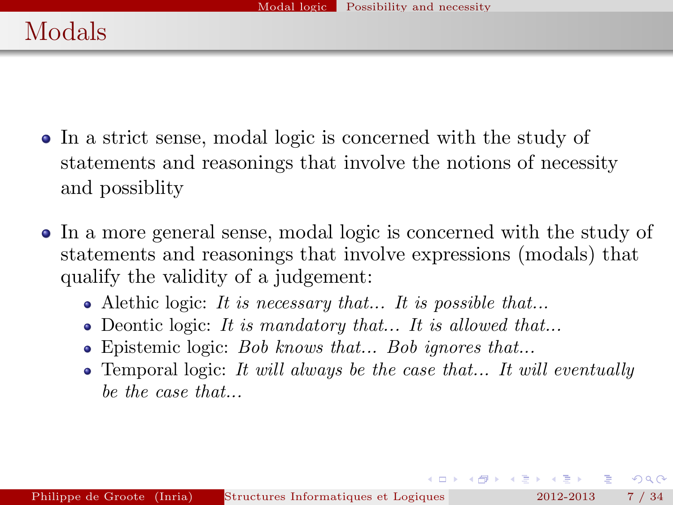- In a strict sense, modal logic is concerned with the study of statements and reasonings that involve the notions of necessity and possiblity
- In a more general sense, modal logic is concerned with the study of statements and reasonings that involve expressions (modals) that qualify the validity of a judgement:
	- Alethic logic: It is necessary that... It is possible that...
	- Deontic logic: It is mandatory that... It is allowed that...
	- Epistemic logic: Bob knows that... Bob ignores that...
	- $\bullet$  Temporal logic: It will always be the case that... It will eventually be the case that...

 $QQ$ 

 $(0,1)$   $(0,1)$   $(0,1)$   $(1,1)$   $(1,1)$   $(1,1)$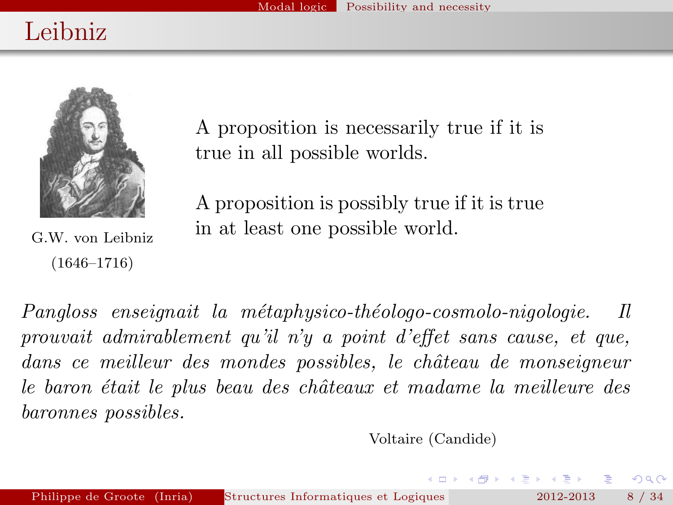# Leibniz



A proposition is necessarily true if it is true in all possible worlds.

A proposition is possibly true if it is true in at least one possible world.

G.W. von Leibniz (1646–1716)

Pangloss enseignait la métaphysico-théologo-cosmolo-nigologie. Il prouvait admirablement qu'il n'y a point d'effet sans cause, et que, dans ce meilleur des mondes possibles, le château de monseigneur le baron était le plus beau des châteaux et madame la meilleure des baronnes possibles.

Voltaire (Candide)

K ロ ⊁ K 何 ≯ K ヨ ⊁ K ヨ ⊁

 $QQ$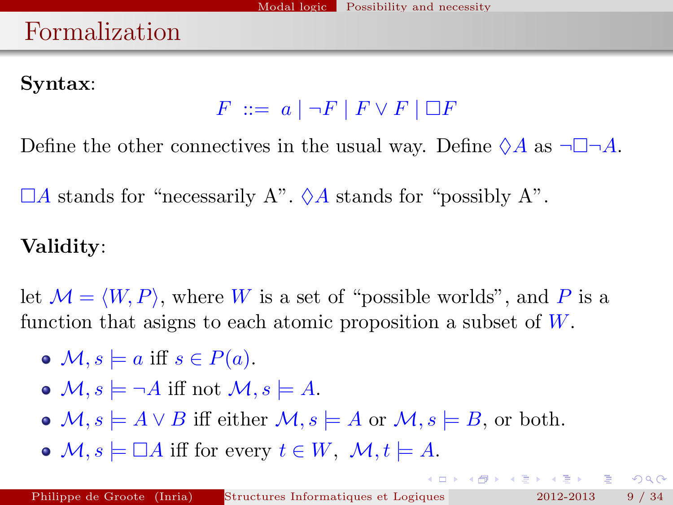# Formalization

### Syntax:

 $F \ ::= a \mid \neg F \mid F \vee F \mid \Box F$ 

Define the other connectives in the usual way. Define  $\Diamond A$  as  $\neg \Box \neg A$ .

 $\Box A$  stands for "necessarily A".  $\Diamond A$  stands for "possibly A".

# Validity:

let  $\mathcal{M} = \langle W, P \rangle$ , where W is a set of "possible worlds", and P is a function that asigns to each atomic proposition a subset of  $W$ .

- $\bullet \mathcal{M}, s \models a \text{ iff } s \in P(a).$
- $\bullet$   $\mathcal{M}, s \models \neg A$  iff not  $\mathcal{M}, s \models A$ .
- $\bullet$   $\mathcal{M}, s \models A \vee B$  iff either  $\mathcal{M}, s \models A$  or  $\mathcal{M}, s \models B$ , or both.
- $\bullet$  M,  $s \models \Box A$  iff for every  $t \in W$ ,  $\mathcal{M}, t \models A$ .

 $\Omega$ 

**K ロ ト K 倒 ト K ヨ ト K ヨ ト**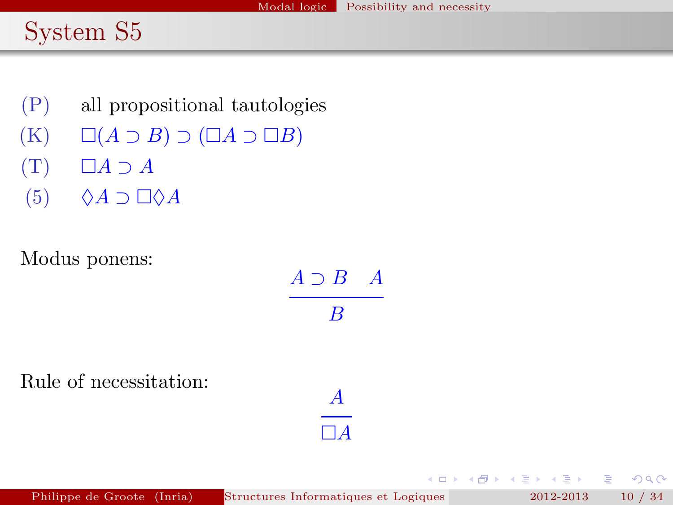# System S5

- (P) all propositional tautologies
- $(K) \square (A \supset B) \supset (\square A \supset \square B)$
- $(T)$   $\Box A \supset A$
- $(5)$   $\Diamond A \supset \Box \Diamond A$

Modus ponens:

| $A \supset B$ $A$            |  |
|------------------------------|--|
| B                            |  |
|                              |  |
| $\boldsymbol{A}$<br>$\Box A$ |  |

4.000

4 闯

不重 的人  $\rightarrow$   $\equiv$   $\rightarrow$  重

 $2Q$ 

Rule of necessitation: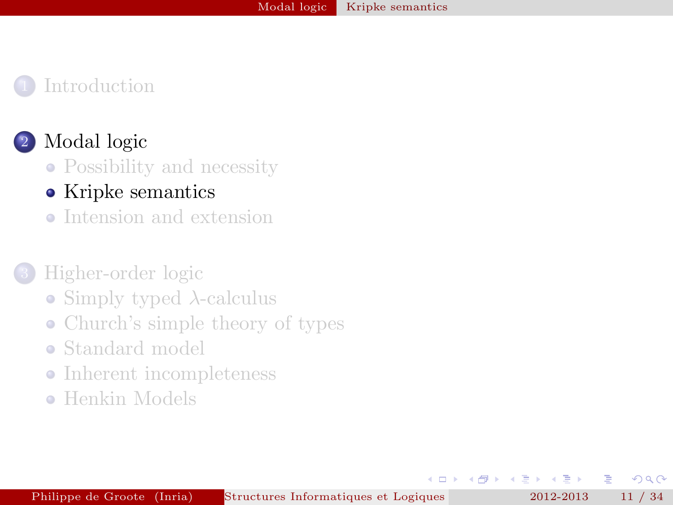#### [Modal logic](#page-5-0)

[Possibility and necessity](#page-5-0)

#### • [Kripke semantics](#page-10-0)

• [Intension and extension](#page-15-0)

### 3 [Higher-order logic](#page-18-0)

- [Simply typed](#page-18-0)  $\lambda$ -calculus
- [Church's simple theory of types](#page-22-0)
- [Standard model](#page-26-0)
- [Inherent incompleteness](#page-29-0)  $\bullet$
- **[Henkin Models](#page-32-0)**

舌

<span id="page-10-0"></span> $\Omega$ 

E

4. 重. **D** 

 $\overline{a}$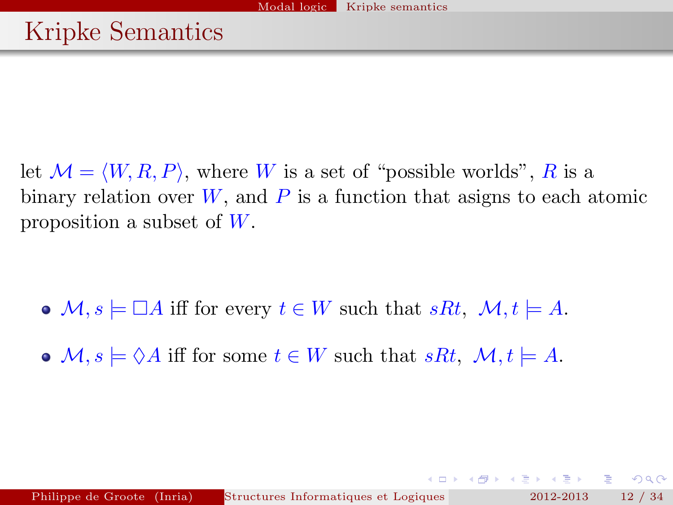let  $\mathcal{M} = \langle W, R, P \rangle$ , where W is a set of "possible worlds", R is a binary relation over  $W$ , and  $P$  is a function that asigns to each atomic proposition a subset of  $W$ .

- $\bullet \mathcal{M}, s \models \Box A$  iff for every  $t \in W$  such that  $sRt, \mathcal{M}, t \models A$ .
- $\bullet \mathcal{M}, s \models \Diamond A$  iff for some  $t \in W$  such that  $sRt, \mathcal{M}, t \models A$ .

 $E = \Omega Q$ 

**K ロ ト K 倒 ト K ヨ ト K ヨ ト**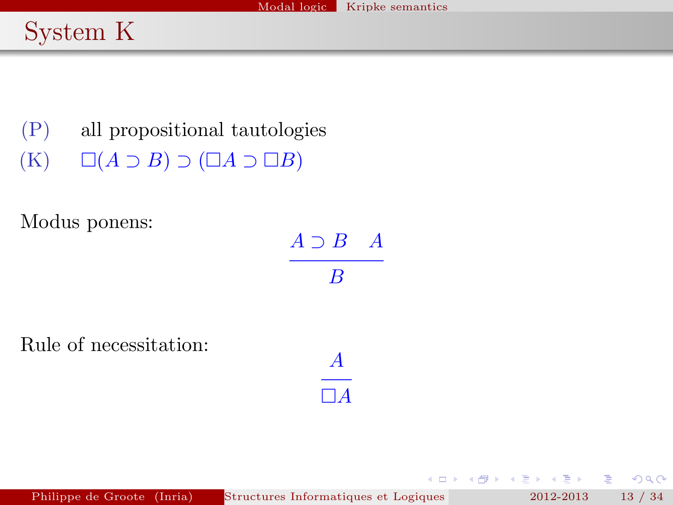# System K

(P) all propositional tautologies  $(K) \square (A \supset B) \supset (\square A \supset \square B)$ 

Modus ponens:

| $A \supset$<br>В | $\boldsymbol{A}$ |
|------------------|------------------|
| В                |                  |

A  $\Box A$ 

 $\rightarrow$   $\Rightarrow$   $\rightarrow$ 

重

 $2Q$ 

不重 的

 $(1 - 1)$ 

Rule of necessitation:

Philippe de Groote (Inria) Structures Informatiques et Logiques pour la Modielisation Linguisticus et Logique (MPRI 2012-2013 13 / 34.1 - second particular particular et Logique (MPRI 2012-2013 - 13 / 34.1 - second particu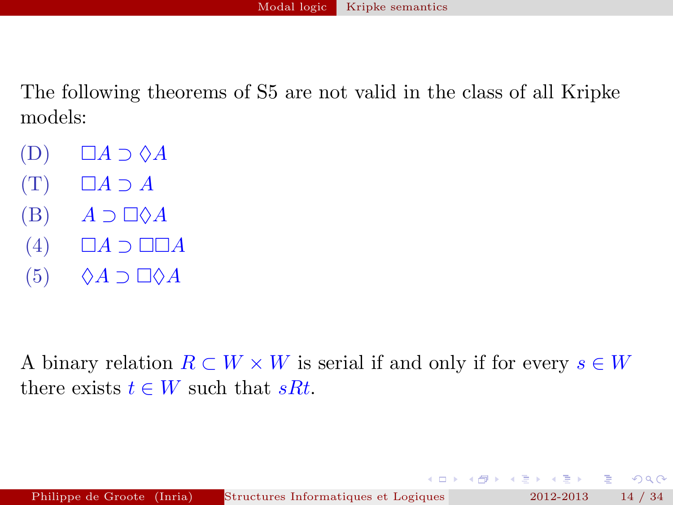The following theorems of S5 are not valid in the class of all Kripke models:

- $(D)$   $\Box A \supset \Diamond A$
- $(T)$   $\Box A \supset A$
- $(B)$   $A \supset \Box \Diamond A$
- $(4)$   $\Box A \supset \Box \Box A$
- $(5)$   $\Diamond A \supset \Box \Diamond A$

A binary relation  $R \subset W \times W$  is serial if and only if for every  $s \in W$ there exists  $t \in W$  such that  $sRt$ .

 $\left\{ \bigoplus_{i=1}^n \mathbb{1} \right\} \rightarrow \left\{ \bigoplus_{i=1}^n \mathbb{1} \right\} \rightarrow \left\{ \bigoplus_{i=1}^n \mathbb{1} \right\}$ 

重

 $2Q$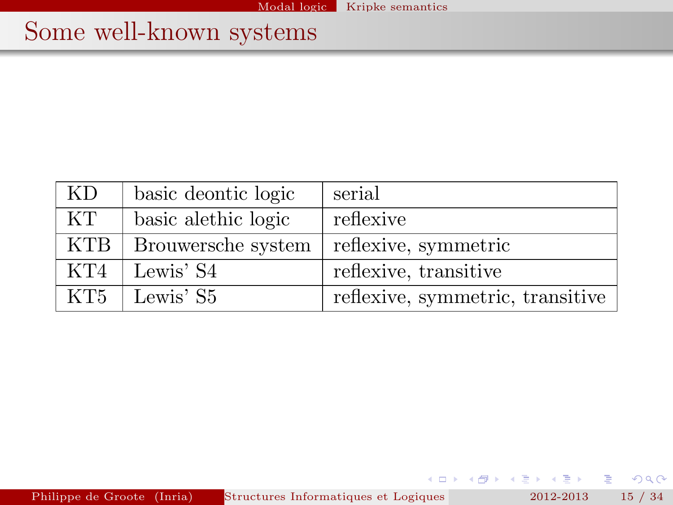# Some well-known systems

| KD         | basic deontic logic | serial                           |
|------------|---------------------|----------------------------------|
| KT.        | basic alethic logic | reflexive                        |
| <b>KTB</b> | Brouwersche system  | reflexive, symmetric             |
| KT4        | Lewis' S4           | reflexive, transitive            |
| KT5        | Lewis' S5           | reflexive, symmetric, transitive |

Philippe de Groote (Inria) Structures Informatiques et Logiques pour la Modielisation Linguisticus (MPRI 2012-2013 15 / 34.1 - second particular particular et Logique (MPRI 2012-2013 15 / 34.1 - second particular et Logiqu

重

 $299$ 

 $4$  ロ )  $4$  何 )  $4$  글 )  $4$  글 )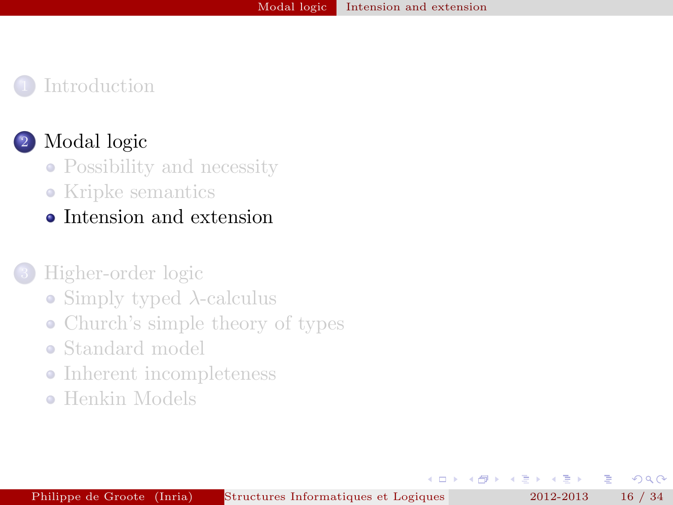#### [Modal logic](#page-5-0)

- [Possibility and necessity](#page-5-0)
- [Kripke semantics](#page-10-0)
- [Intension and extension](#page-15-0)

#### 3 [Higher-order logic](#page-18-0)

- [Simply typed](#page-18-0)  $\lambda$ -calculus
- [Church's simple theory of types](#page-22-0)
- [Standard model](#page-26-0)
- [Inherent incompleteness](#page-29-0)
- **[Henkin Models](#page-32-0)**

舌

<span id="page-15-0"></span> $\Omega$ 

E

4 三 下

 $\overline{a}$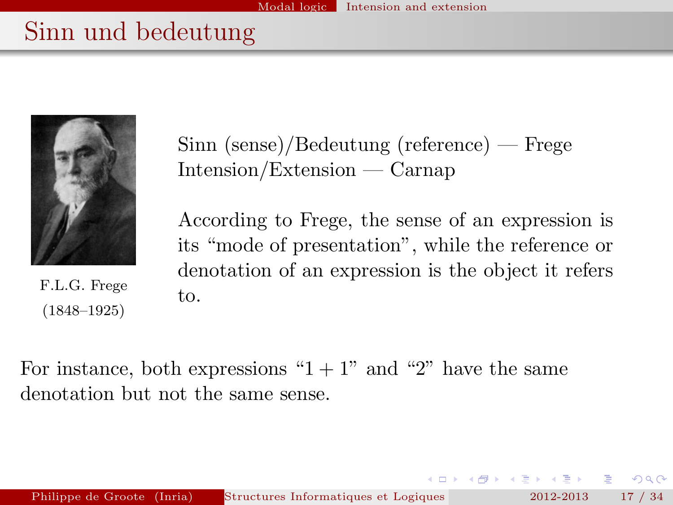# Sinn und bedeutung



F.L.G. Frege (1848–1925)

Sinn (sense)/Bedeutung (reference) — Frege Intension/Extension — Carnap

According to Frege, the sense of an expression is its "mode of presentation", while the reference or denotation of an expression is the object it refers to.

For instance, both expressions " $1 + 1$ " and "2" have the same denotation but not the same sense.

 $QQ$ 

- イ押 トーイヨ トーイヨ ト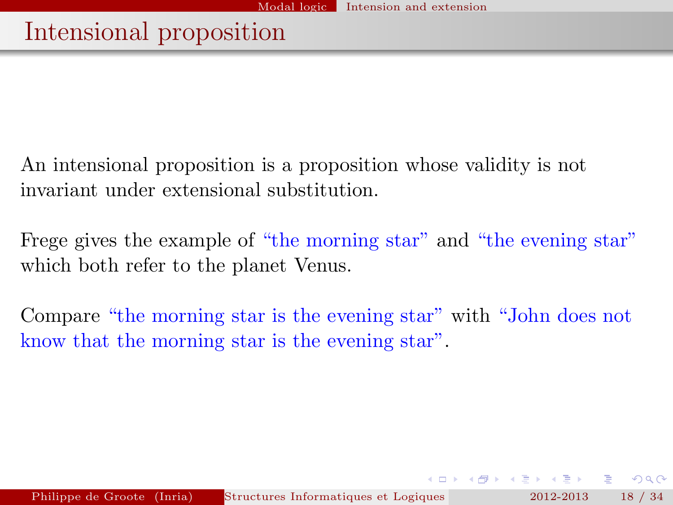# Intensional proposition

An intensional proposition is a proposition whose validity is not invariant under extensional substitution.

Frege gives the example of "the morning star" and "the evening star" which both refer to the planet Venus.

Compare "the morning star is the evening star" with "John does not know that the morning star is the evening star".

 $QQ$ 

**A BAKABA**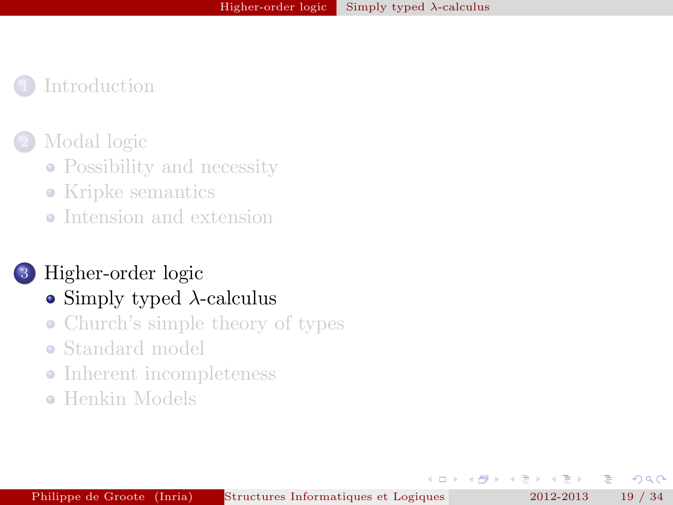#### [Modal logic](#page-5-0)

- [Possibility and necessity](#page-5-0)
- [Kripke semantics](#page-10-0)
- [Intension and extension](#page-15-0)

#### 3 [Higher-order logic](#page-18-0)

### • [Simply typed](#page-18-0)  $\lambda$ -calculus

- [Church's simple theory of types](#page-22-0)
- [Standard model](#page-26-0)
- [Inherent incompleteness](#page-29-0)  $\bullet$
- **[Henkin Models](#page-32-0)**

舌

4 重 **B** 

 $\overline{a}$ 

<span id="page-18-0"></span> $\Omega$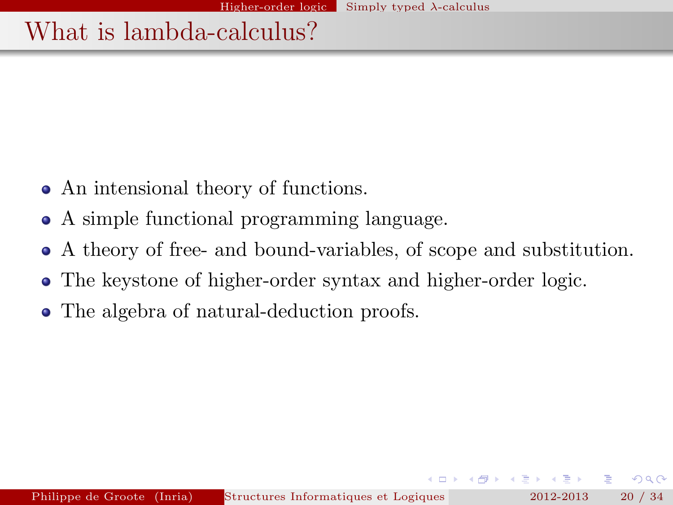# What is lambda-calculus?

- An intensional theory of functions.
- A simple functional programming language.
- A theory of free- and bound-variables, of scope and substitution.
- The keystone of higher-order syntax and higher-order logic.
- The algebra of natural-deduction proofs.

 $QQ$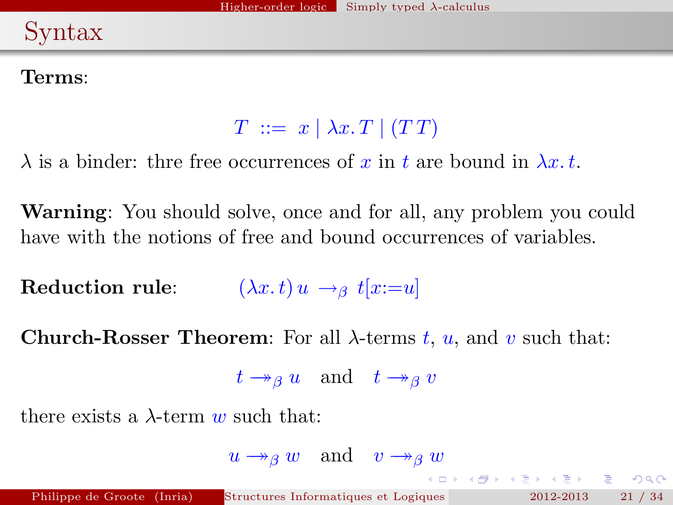# Syntax

### Terms:

 $T := x \mid \lambda x \cdot T \mid (TT)$ 

 $\lambda$  is a binder: thre free occurrences of x in t are bound in  $\lambda x$ .

Warning: You should solve, once and for all, any problem you could have with the notions of free and bound occurrences of variables.

Reduction rule:  $(\lambda x. t) u \rightarrow_\beta t [x := u]$ 

Church-Rosser Theorem: For all  $\lambda$ -terms t, u, and v such that:

 $t \rightarrow_{\beta} u$  and  $t \rightarrow_{\beta} v$ 

there exists a  $\lambda$ -term w such that:

 $u \rightarrow_{\beta} w$  and  $v \rightarrow_{\beta} w$ 

K □ X K @ X K 할 X K 할 X \_ 할 X YO Q @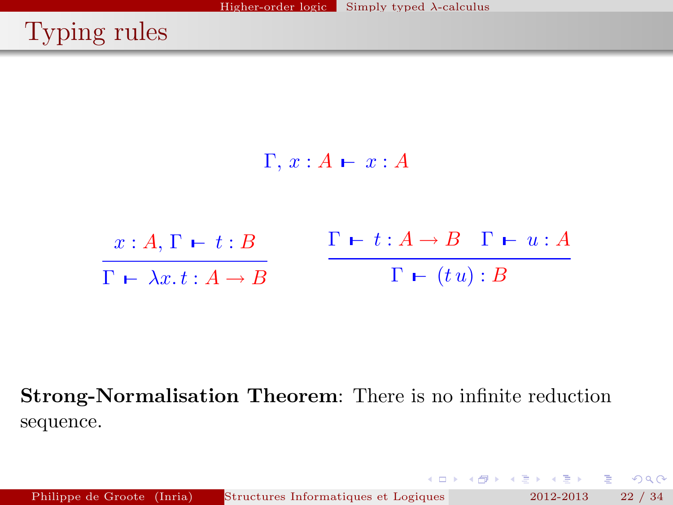# Typing rules



Strong-Normalisation Theorem: There is no infinite reduction sequence.

Philippe de Groote (Inria) Structures Informatiques et Logiques 2012-2013 22 / 34

イロメ イ押メ イヨメ イヨメ

重。

 $2Q$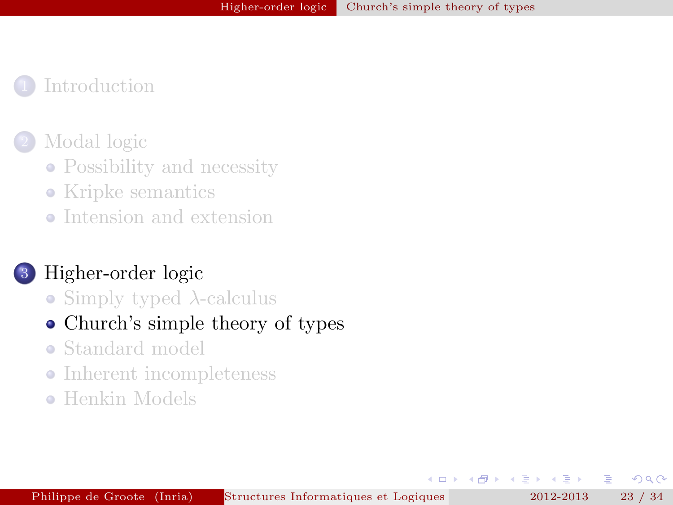#### [Modal logic](#page-5-0)

- [Possibility and necessity](#page-5-0)
- [Kripke semantics](#page-10-0)
- [Intension and extension](#page-15-0)

### 3 [Higher-order logic](#page-18-0)

- [Simply typed](#page-18-0)  $\lambda$ -calculus
- [Church's simple theory of types](#page-22-0)
- [Standard model](#page-26-0)
- [Inherent incompleteness](#page-29-0)  $\bullet$
- **[Henkin Models](#page-32-0)**

舌

∢ ⊞i

 $\overline{a}$ 

<span id="page-22-0"></span> $\Omega$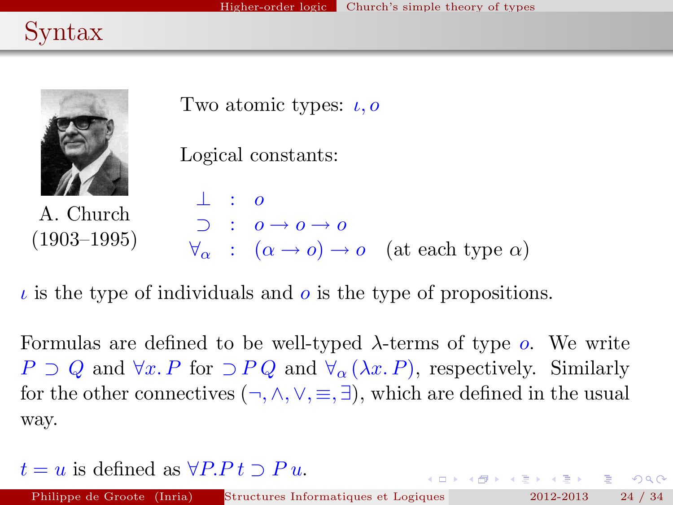# Syntax



A. Church (1903–1995)

Two atomic types:  $\iota$ ,  $o$ 

```
Logical constants:
```

$$
\begin{array}{ccc}\n\bot & : & o \\
\supset & : & o \to o \to o \\
\forall_{\alpha} & : & (\alpha \to o) \to o \quad \text{(at each type } \alpha)\n\end{array}
$$

 $\iota$  is the type of individuals and  $\iota$  is the type of propositions.

Formulas are defined to be well-typed  $\lambda$ -terms of type  $\rho$ . We write  $P \supset Q$  and  $\forall x \in P$  for  $\supset PQ$  and  $\forall_{\alpha} (\lambda x \in P)$ , respectively. Similarly for the other connectives  $(\neg, \wedge, \vee, \equiv, \exists)$ , which are defined in the usual way.

 $t = u$  is defined as  $\forall P.P \, t \supset P u$ .

 $E = \Omega Q$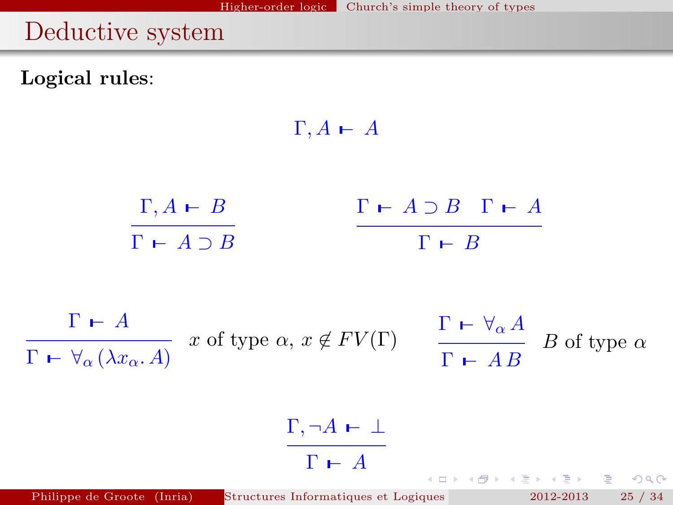# Deductive system

Logical rules:

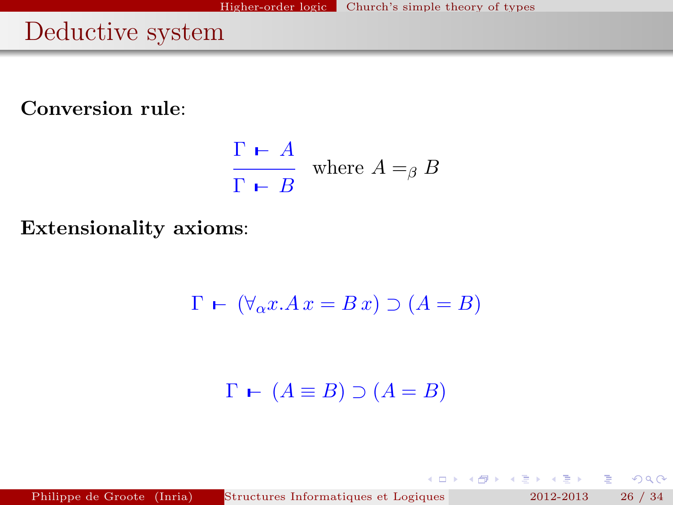# Deductive system

Conversion rule:

$$
\frac{\Gamma \vdash A}{\Gamma \vdash B} \text{ where } A =_{\beta} B
$$

Extensionality axioms:

$$
\Gamma \vdash (\forall_{\alpha} x. Ax = B x) \supset (A = B)
$$

 $\Gamma \vdash (A \equiv B) \supset (A = B)$ 

Philippe de Groote (Inria) Structures Informatiques et Logiques pour la Modielisation 2012-2013 26 / 34

重

 $2Q$ 

**K ロ ト K 倒 ト K ヨ ト K ヨ ト**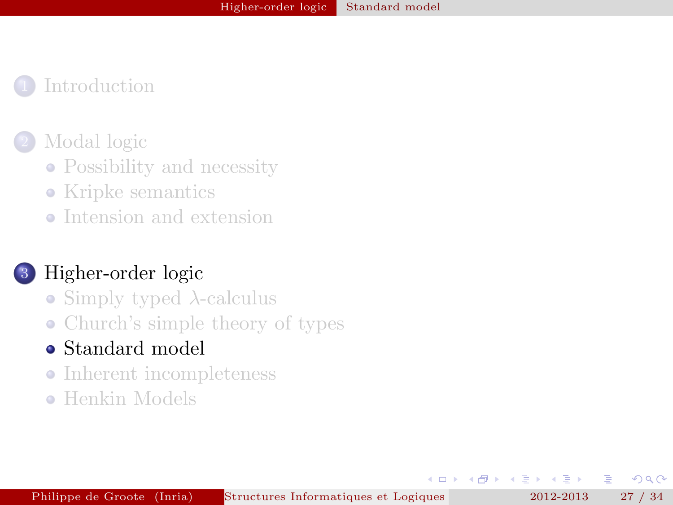#### [Modal logic](#page-5-0)

- [Possibility and necessity](#page-5-0)
- [Kripke semantics](#page-10-0)
- [Intension and extension](#page-15-0)

# 3 [Higher-order logic](#page-18-0)

- [Simply typed](#page-18-0)  $\lambda$ -calculus
- [Church's simple theory of types](#page-22-0)

# [Standard model](#page-26-0)

- [Inherent incompleteness](#page-29-0)
- **[Henkin Models](#page-32-0)**

舌

<span id="page-26-0"></span> $\Omega$ 

E

4. 重.  $\rightarrow$ 

 $\overline{a}$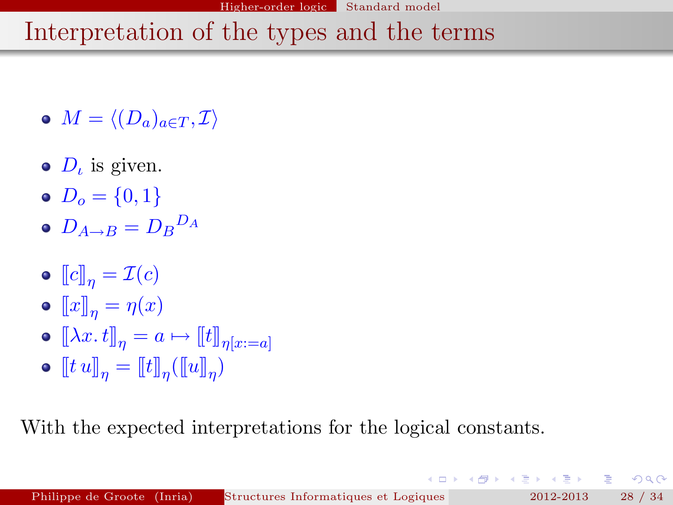#### Higher-order logic Standard model

# Interpretation of the types and the terms

- $M = \langle (D_a)_{a \in T} , \mathcal{I} \rangle$
- $D_{\iota}$  is given.
- $D_0 = \{0, 1\}$
- $D_{A\rightarrow B}=D_{B}{}^{D_{A}}$
- $\bullet \llbracket c \rrbracket_n = \mathcal{I}(c)$
- $\bullet \llbracket x \rrbracket_n = \eta(x)$
- $\bullet \ [\![\lambda x. t]\!]_n = a \mapsto [\![t]\!]_{n[x:=a]}$
- $\llbracket t \, u \rrbracket_\eta = \llbracket t \rrbracket_\eta (\llbracket u \rrbracket_\eta)$

With the expected interpretations for the logical constants.

 $\mathcal{A}$   $\overline{\mathcal{B}}$   $\rightarrow$   $\mathcal{A}$   $\overline{\mathcal{B}}$   $\rightarrow$   $\mathcal{A}$   $\overline{\mathcal{B}}$   $\rightarrow$ 

重し  $2Q$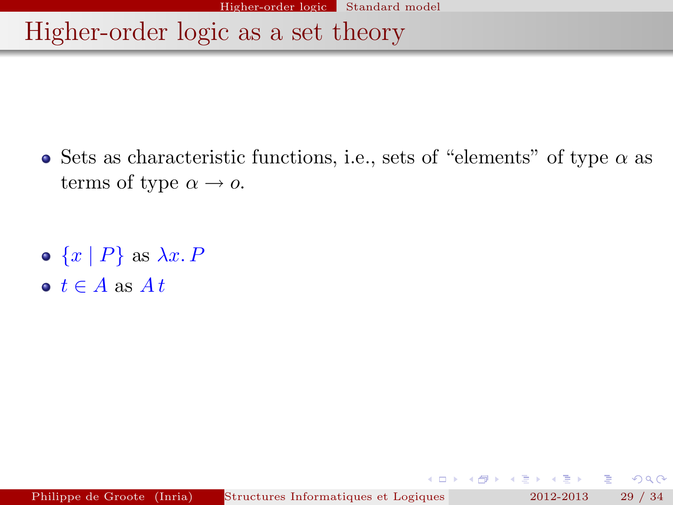Higher-order logic as a set theory

- Sets as characteristic functions, i.e., sets of "elements" of type  $\alpha$  as terms of type  $\alpha \rightarrow o$ .
- $\bullet \{x \mid P\}$  as  $\lambda x. P$
- $\bullet t \in A$  as  $At$

 $QQ$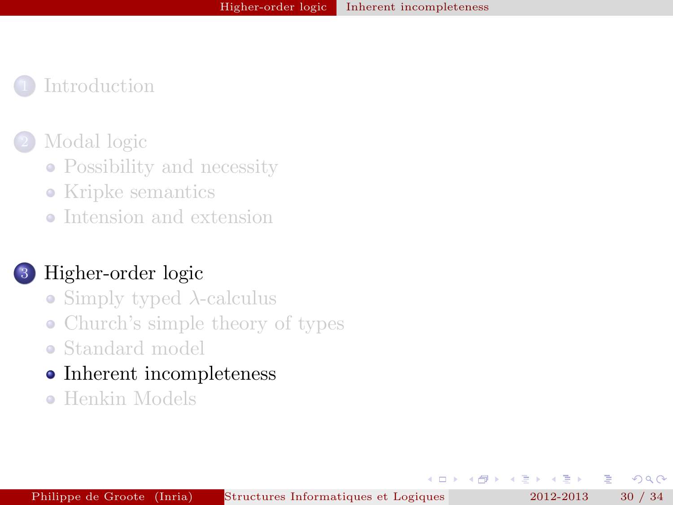#### [Modal logic](#page-5-0)

- [Possibility and necessity](#page-5-0)
- [Kripke semantics](#page-10-0)
- [Intension and extension](#page-15-0)

### 3 [Higher-order logic](#page-18-0)

- [Simply typed](#page-18-0)  $\lambda$ -calculus
- [Church's simple theory of types](#page-22-0)
- [Standard model](#page-26-0)
- [Inherent incompleteness](#page-29-0)  $\bullet$
- **[Henkin Models](#page-32-0)**

舌

4 重 **B** 

 $\overline{a}$ 

<span id="page-29-0"></span> $\Omega$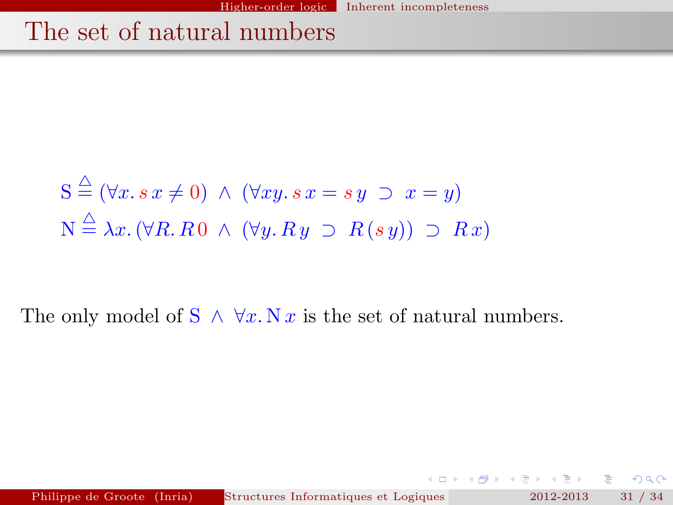# The set of natural numbers

$$
S \stackrel{\triangle}{=} (\forall x. s \ x \neq 0) \ \land \ (\forall xy. s \ x = s \ y \ \supset \ x = y)
$$

$$
N \stackrel{\triangle}{=} \lambda x. (\forall R. R \ 0 \ \land \ (\forall y. R \ y \ \supset \ R \ (s \ y)) \ \supset \ R \ x)
$$

The only model of  $S \wedge \forall x. N x$  is the set of natural numbers.

Philippe de Groote (Inria) Structures Informatiques et Logiques pour la Modielisation 2012-2013 31 / 34

<span id="page-30-0"></span> $2Q$ 

 $4$  ロ )  $4$  何 )  $4$  글 )  $4$  글 )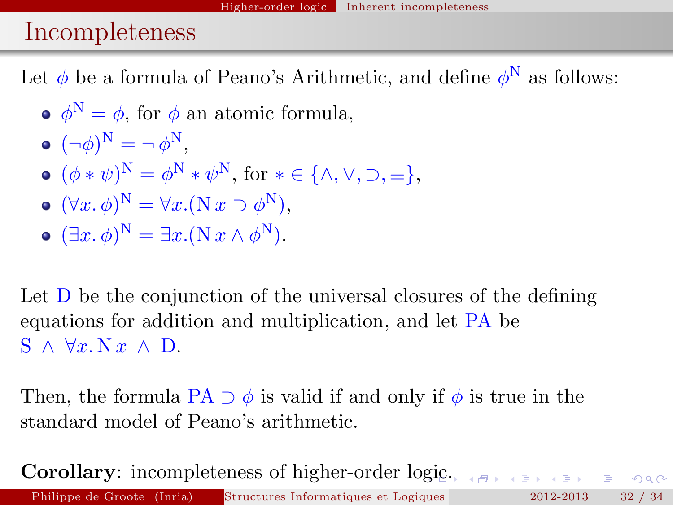# Incompleteness

Let  $\phi$  be a formula of Peano's Arithmetic, and define  $\phi^N$  as follows:

- $\phi^N = \phi$ , for  $\phi$  an atomic formula,
- $(\neg \phi)^N = \neg \phi^N,$
- $(\phi * \psi)^N = \phi^N * \psi^N$ , for  $* \in {\wedge, \vee, \supset, \equiv}$ ,
- $(\forall x. \, \phi)^N = \forall x. (\mathcal{N} \, x \supset \phi^N),$
- $(\exists x. \, \phi)^{\mathcal{N}} = \exists x. (\mathcal{N} \, x \wedge \phi^{\mathcal{N}}).$

Let D be the conjunction of the universal closures of the defining equations for addition and multiplication, and let PA be  $S \wedge \forall x \vee x \wedge D$ .

Then, the formula PA  $\supset \phi$  is valid if and only if  $\phi$  is true in the standard model of Peano's arithmetic.

**Corollary:** incompleteness of higher-order lo[gi](#page-30-0)c[.](#page-32-0) Philippe de Groote (Inria) Structures Informatiques et Logiques 2012-2013 32 / 34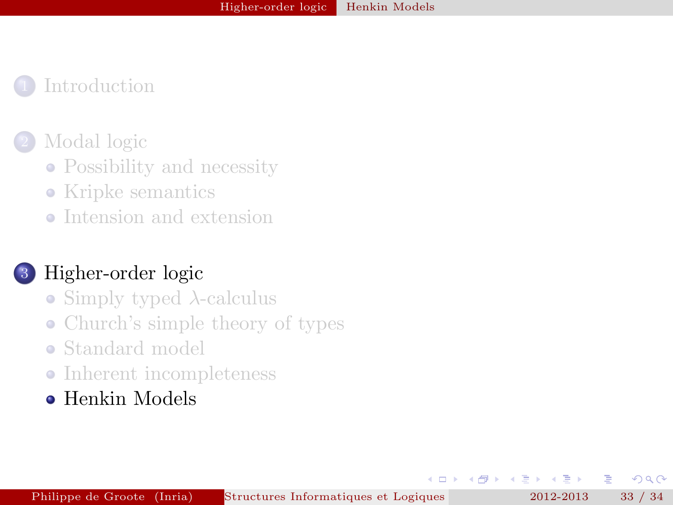#### [Modal logic](#page-5-0)

- [Possibility and necessity](#page-5-0)
- [Kripke semantics](#page-10-0)
- [Intension and extension](#page-15-0)

### 3 [Higher-order logic](#page-18-0)

- [Simply typed](#page-18-0)  $\lambda$ -calculus
- [Church's simple theory of types](#page-22-0)
- [Standard model](#page-26-0)
- [Inherent incompleteness](#page-29-0)
- **[Henkin Models](#page-32-0)**

E

舌

4. 重.  $\rightarrow$ 

 $\overline{a}$ 

<span id="page-32-0"></span> $\Omega$